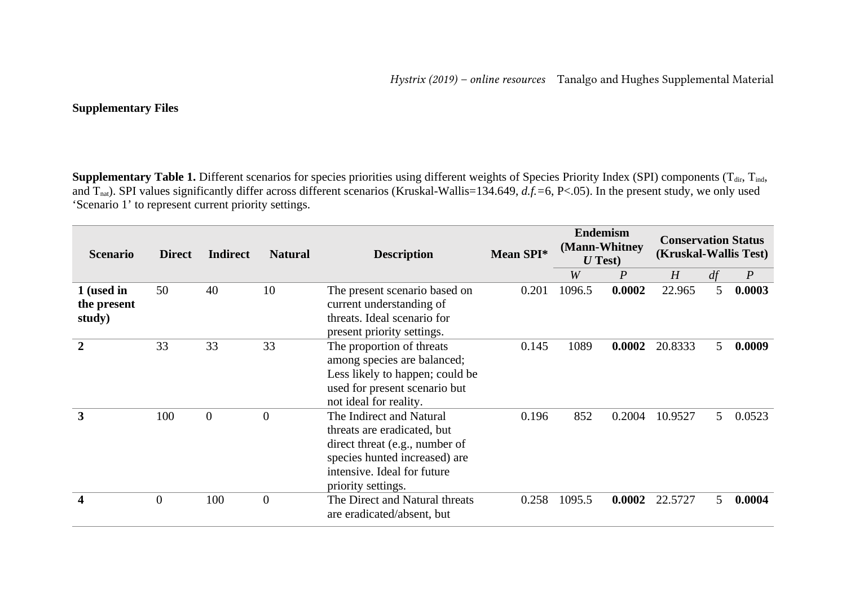## **Supplementary Files**

Supplementary Table 1. Different scenarios for species priorities using different weights of Species Priority Index (SPI) components (T<sub>dir</sub>, T<sub>ind</sub>, and Tnat). SPI values significantly differ across different scenarios (Kruskal-Wallis=134.649, *d.f.=*6, P<.05). In the present study, we only used 'Scenario 1' to represent current priority settings.

| <b>Scenario</b>                     | <b>Direct</b>  | <b>Indirect</b>  | <b>Natural</b> | <b>Description</b>                                                                                                                                                              |       | <b>Endemism</b><br>(Mann-Whitney<br>$U$ Test) |        | <b>Conservation Status</b><br>(Kruskal-Wallis Test) |    |                  |
|-------------------------------------|----------------|------------------|----------------|---------------------------------------------------------------------------------------------------------------------------------------------------------------------------------|-------|-----------------------------------------------|--------|-----------------------------------------------------|----|------------------|
|                                     |                |                  |                |                                                                                                                                                                                 |       | W                                             | P      | H                                                   | df | $\boldsymbol{P}$ |
| 1 (used in<br>the present<br>study) | 50             | 40               | 10             | The present scenario based on<br>current understanding of<br>threats. Ideal scenario for<br>present priority settings.                                                          | 0.201 | 1096.5                                        | 0.0002 | 22.965                                              | 5  | 0.0003           |
| $\overline{2}$                      | 33             | 33               | 33             | The proportion of threats<br>among species are balanced;<br>Less likely to happen; could be<br>used for present scenario but<br>not ideal for reality.                          | 0.145 | 1089                                          | 0.0002 | 20.8333                                             | 5. | 0.0009           |
| 3                                   | 100            | $\boldsymbol{0}$ | $\mathbf{0}$   | The Indirect and Natural<br>threats are eradicated, but<br>direct threat (e.g., number of<br>species hunted increased) are<br>intensive. Ideal for future<br>priority settings. | 0.196 | 852                                           | 0.2004 | 10.9527                                             | 5  | 0.0523           |
| 4                                   | $\overline{0}$ | 100              | $\mathbf{0}$   | The Direct and Natural threats<br>are eradicated/absent, but                                                                                                                    | 0.258 | 1095.5                                        | 0.0002 | 22.5727                                             | 5. | 0.0004           |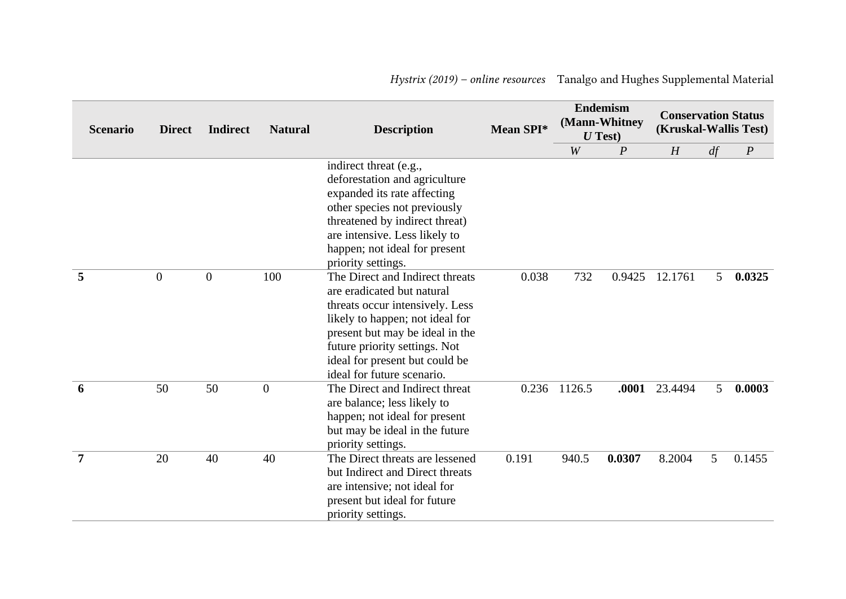| <b>Scenario</b> | <b>Direct</b>    | <b>Indirect</b> | <b>Natural</b>   | <b>Description</b>                                                                                                                                                                                                                                                      | Mean SPI* |        | <b>Endemism</b><br>(Mann-Whitney<br>$U$ Test) | <b>Conservation Status</b><br>(Kruskal-Wallis Test) |    |                  |
|-----------------|------------------|-----------------|------------------|-------------------------------------------------------------------------------------------------------------------------------------------------------------------------------------------------------------------------------------------------------------------------|-----------|--------|-----------------------------------------------|-----------------------------------------------------|----|------------------|
|                 |                  |                 |                  |                                                                                                                                                                                                                                                                         |           | W      | $\boldsymbol{P}$                              | H                                                   | df | $\boldsymbol{P}$ |
|                 |                  |                 |                  | indirect threat (e.g.,<br>deforestation and agriculture<br>expanded its rate affecting<br>other species not previously<br>threatened by indirect threat)<br>are intensive. Less likely to<br>happen; not ideal for present<br>priority settings.                        |           |        |                                               |                                                     |    |                  |
| 5               | $\boldsymbol{0}$ | $\mathbf{0}$    | 100              | The Direct and Indirect threats<br>are eradicated but natural<br>threats occur intensively. Less<br>likely to happen; not ideal for<br>present but may be ideal in the<br>future priority settings. Not<br>ideal for present but could be<br>ideal for future scenario. | 0.038     | 732    | 0.9425                                        | 12.1761                                             | 5  | 0.0325           |
| 6               | 50               | 50              | $\boldsymbol{0}$ | The Direct and Indirect threat<br>are balance; less likely to<br>happen; not ideal for present<br>but may be ideal in the future<br>priority settings.                                                                                                                  | 0.236     | 1126.5 | .0001                                         | 23.4494                                             | 5  | 0.0003           |
| 7               | 20               | 40              | 40               | The Direct threats are lessened<br>but Indirect and Direct threats<br>are intensive; not ideal for<br>present but ideal for future<br>priority settings.                                                                                                                | 0.191     | 940.5  | 0.0307                                        | 8.2004                                              | 5  | 0.1455           |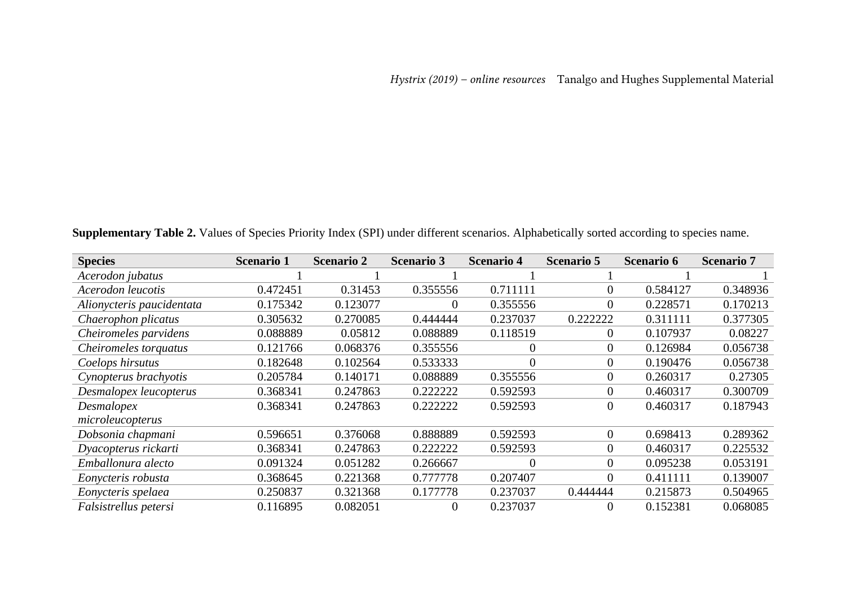**Supplementary Table 2.** Values of Species Priority Index (SPI) under different scenarios. Alphabetically sorted according to species name.

| <b>Species</b>            | <b>Scenario 1</b> | <b>Scenario 2</b> | <b>Scenario 3</b> | <b>Scenario 4</b> | <b>Scenario 5</b> | <b>Scenario 6</b> | <b>Scenario 7</b> |
|---------------------------|-------------------|-------------------|-------------------|-------------------|-------------------|-------------------|-------------------|
| Acerodon jubatus          |                   |                   |                   |                   |                   |                   |                   |
| Acerodon leucotis         | 0.472451          | 0.31453           | 0.355556          | 0.711111          | $\overline{0}$    | 0.584127          | 0.348936          |
| Alionycteris paucidentata | 0.175342          | 0.123077          | $\overline{0}$    | 0.355556          | $\overline{0}$    | 0.228571          | 0.170213          |
| Chaerophon plicatus       | 0.305632          | 0.270085          | 0.444444          | 0.237037          | 0.222222          | 0.311111          | 0.377305          |
| Cheiromeles parvidens     | 0.088889          | 0.05812           | 0.088889          | 0.118519          | $\boldsymbol{0}$  | 0.107937          | 0.08227           |
| Cheiromeles torquatus     | 0.121766          | 0.068376          | 0.355556          | $\boldsymbol{0}$  | $\mathbf{0}$      | 0.126984          | 0.056738          |
| Coelops hirsutus          | 0.182648          | 0.102564          | 0.533333          | 0                 | $\mathbf{0}$      | 0.190476          | 0.056738          |
| Cynopterus brachyotis     | 0.205784          | 0.140171          | 0.088889          | 0.355556          | $\boldsymbol{0}$  | 0.260317          | 0.27305           |
| Desmalopex leucopterus    | 0.368341          | 0.247863          | 0.222222          | 0.592593          | $\mathbf{0}$      | 0.460317          | 0.300709          |
| Desmalopex                | 0.368341          | 0.247863          | 0.222222          | 0.592593          | $\overline{0}$    | 0.460317          | 0.187943          |
| microleucopterus          |                   |                   |                   |                   |                   |                   |                   |
| Dobsonia chapmani         | 0.596651          | 0.376068          | 0.888889          | 0.592593          | $\mathbf{0}$      | 0.698413          | 0.289362          |
| Dyacopterus rickarti      | 0.368341          | 0.247863          | 0.222222          | 0.592593          | $\overline{0}$    | 0.460317          | 0.225532          |
| Emballonura alecto        | 0.091324          | 0.051282          | 0.266667          | 0                 | $\overline{0}$    | 0.095238          | 0.053191          |
| Eonycteris robusta        | 0.368645          | 0.221368          | 0.777778          | 0.207407          | $\theta$          | 0.411111          | 0.139007          |
| Eonycteris spelaea        | 0.250837          | 0.321368          | 0.177778          | 0.237037          | 0.444444          | 0.215873          | 0.504965          |
| Falsistrellus petersi     | 0.116895          | 0.082051          | $\overline{0}$    | 0.237037          | $\boldsymbol{0}$  | 0.152381          | 0.068085          |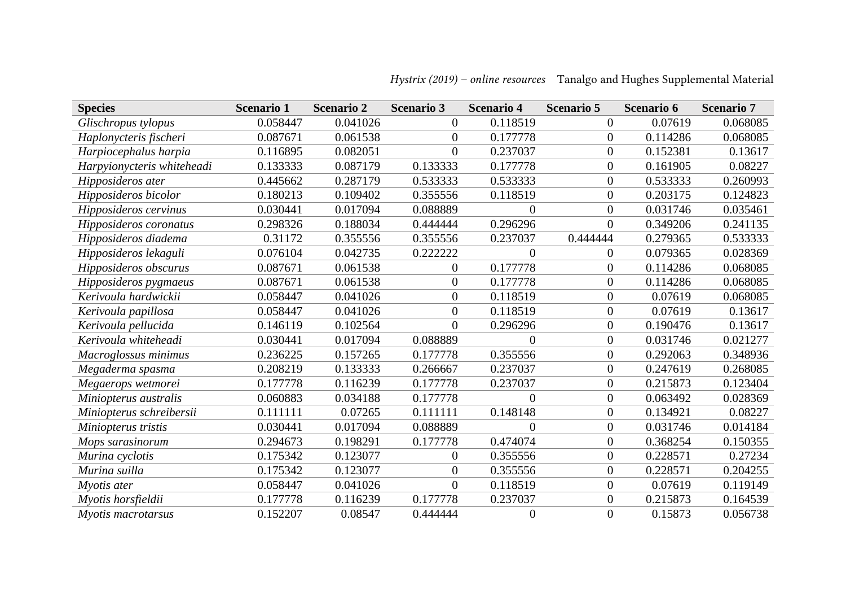| <b>Species</b>             | <b>Scenario 1</b> | <b>Scenario 2</b> | <b>Scenario 3</b> | <b>Scenario 4</b> | <b>Scenario 5</b> | <b>Scenario 6</b> | <b>Scenario 7</b> |
|----------------------------|-------------------|-------------------|-------------------|-------------------|-------------------|-------------------|-------------------|
| Glischropus tylopus        | 0.058447          | 0.041026          | $\boldsymbol{0}$  | 0.118519          | $\boldsymbol{0}$  | 0.07619           | 0.068085          |
| Haplonycteris fischeri     | 0.087671          | 0.061538          | $\overline{0}$    | 0.177778          | $\boldsymbol{0}$  | 0.114286          | 0.068085          |
| Harpiocephalus harpia      | 0.116895          | 0.082051          | $\overline{0}$    | 0.237037          | $\boldsymbol{0}$  | 0.152381          | 0.13617           |
| Harpyionycteris whiteheadi | 0.133333          | 0.087179          | 0.133333          | 0.177778          | $\boldsymbol{0}$  | 0.161905          | 0.08227           |
| Hipposideros ater          | 0.445662          | 0.287179          | 0.533333          | 0.533333          | $\boldsymbol{0}$  | 0.533333          | 0.260993          |
| Hipposideros bicolor       | 0.180213          | 0.109402          | 0.355556          | 0.118519          | $\boldsymbol{0}$  | 0.203175          | 0.124823          |
| Hipposideros cervinus      | 0.030441          | 0.017094          | 0.088889          | $\overline{0}$    | $\boldsymbol{0}$  | 0.031746          | 0.035461          |
| Hipposideros coronatus     | 0.298326          | 0.188034          | 0.444444          | 0.296296          | $\mathbf{0}$      | 0.349206          | 0.241135          |
| Hipposideros diadema       | 0.31172           | 0.355556          | 0.355556          | 0.237037          | 0.444444          | 0.279365          | 0.533333          |
| Hipposideros lekaguli      | 0.076104          | 0.042735          | 0.222222          | 0                 | $\overline{0}$    | 0.079365          | 0.028369          |
| Hipposideros obscurus      | 0.087671          | 0.061538          | $\boldsymbol{0}$  | 0.177778          | $\overline{0}$    | 0.114286          | 0.068085          |
| Hipposideros pygmaeus      | 0.087671          | 0.061538          | $\boldsymbol{0}$  | 0.177778          | $\boldsymbol{0}$  | 0.114286          | 0.068085          |
| Kerivoula hardwickii       | 0.058447          | 0.041026          | $\boldsymbol{0}$  | 0.118519          | $\mathbf{0}$      | 0.07619           | 0.068085          |
| Kerivoula papillosa        | 0.058447          | 0.041026          | $\overline{0}$    | 0.118519          | $\boldsymbol{0}$  | 0.07619           | 0.13617           |
| Kerivoula pellucida        | 0.146119          | 0.102564          | $\mathbf{0}$      | 0.296296          | $\boldsymbol{0}$  | 0.190476          | 0.13617           |
| Kerivoula whiteheadi       | 0.030441          | 0.017094          | 0.088889          | $\theta$          | $\boldsymbol{0}$  | 0.031746          | 0.021277          |
| Macroglossus minimus       | 0.236225          | 0.157265          | 0.177778          | 0.355556          | $\boldsymbol{0}$  | 0.292063          | 0.348936          |
| Megaderma spasma           | 0.208219          | 0.133333          | 0.266667          | 0.237037          | $\boldsymbol{0}$  | 0.247619          | 0.268085          |
| Megaerops wetmorei         | 0.177778          | 0.116239          | 0.177778          | 0.237037          | $\boldsymbol{0}$  | 0.215873          | 0.123404          |
| Miniopterus australis      | 0.060883          | 0.034188          | 0.177778          | 0                 | $\boldsymbol{0}$  | 0.063492          | 0.028369          |
| Miniopterus schreibersii   | 0.111111          | 0.07265           | 0.111111          | 0.148148          | $\overline{0}$    | 0.134921          | 0.08227           |
| Miniopterus tristis        | 0.030441          | 0.017094          | 0.088889          | 0                 | $\boldsymbol{0}$  | 0.031746          | 0.014184          |
| Mops sarasinorum           | 0.294673          | 0.198291          | 0.177778          | 0.474074          | $\boldsymbol{0}$  | 0.368254          | 0.150355          |
| Murina cyclotis            | 0.175342          | 0.123077          | $\overline{0}$    | 0.355556          | $\boldsymbol{0}$  | 0.228571          | 0.27234           |
| Murina suilla              | 0.175342          | 0.123077          | $\boldsymbol{0}$  | 0.355556          | $\boldsymbol{0}$  | 0.228571          | 0.204255          |
| Myotis ater                | 0.058447          | 0.041026          | $\boldsymbol{0}$  | 0.118519          | $\boldsymbol{0}$  | 0.07619           | 0.119149          |
| Myotis horsfieldii         | 0.177778          | 0.116239          | 0.177778          | 0.237037          | $\boldsymbol{0}$  | 0.215873          | 0.164539          |
| Myotis macrotarsus         | 0.152207          | 0.08547           | 0.444444          | 0                 | $\overline{0}$    | 0.15873           | 0.056738          |

## *Hystrix (2019) – online resources* Tanalgo and Hughes Supplemental Material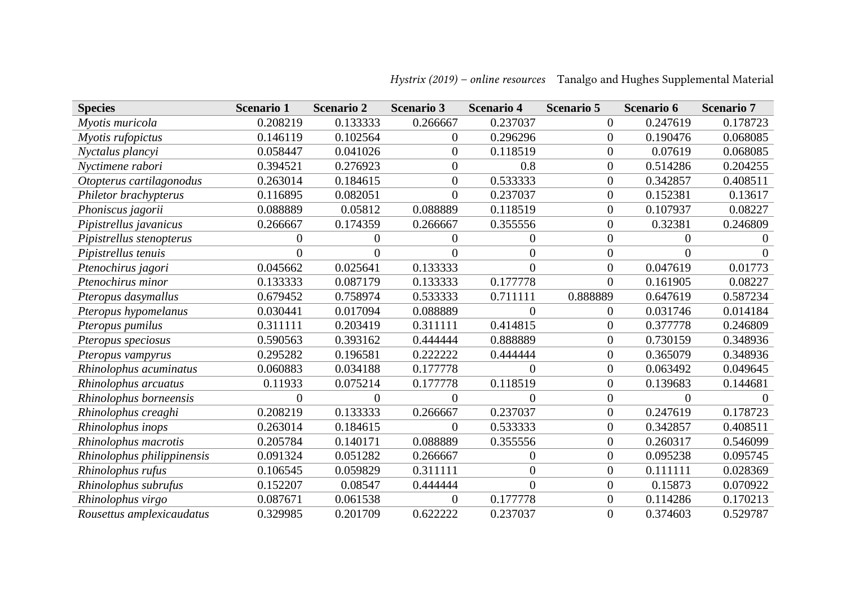| <b>Species</b>             | <b>Scenario 1</b> | <b>Scenario 2</b> | <b>Scenario 3</b> | <b>Scenario 4</b> | <b>Scenario 5</b> | <b>Scenario 6</b> | <b>Scenario 7</b> |
|----------------------------|-------------------|-------------------|-------------------|-------------------|-------------------|-------------------|-------------------|
| Myotis muricola            | 0.208219          | 0.133333          | 0.266667          | 0.237037          | $\boldsymbol{0}$  | 0.247619          | 0.178723          |
| Myotis rufopictus          | 0.146119          | 0.102564          | $\overline{0}$    | 0.296296          | $\overline{0}$    | 0.190476          | 0.068085          |
| Nyctalus plancyi           | 0.058447          | 0.041026          | $\Omega$          | 0.118519          | $\boldsymbol{0}$  | 0.07619           | 0.068085          |
| Nyctimene rabori           | 0.394521          | 0.276923          | $\overline{0}$    | 0.8               | $\boldsymbol{0}$  | 0.514286          | 0.204255          |
| Otopterus cartilagonodus   | 0.263014          | 0.184615          | $\overline{0}$    | 0.533333          | $\boldsymbol{0}$  | 0.342857          | 0.408511          |
| Philetor brachypterus      | 0.116895          | 0.082051          | $\overline{0}$    | 0.237037          | $\mathbf{0}$      | 0.152381          | 0.13617           |
| Phoniscus jagorii          | 0.088889          | 0.05812           | 0.088889          | 0.118519          | $\boldsymbol{0}$  | 0.107937          | 0.08227           |
| Pipistrellus javanicus     | 0.266667          | 0.174359          | 0.266667          | 0.355556          | $\boldsymbol{0}$  | 0.32381           | 0.246809          |
| Pipistrellus stenopterus   | 0                 | $\theta$          | $\Omega$          | 0                 | $\overline{0}$    | 0                 |                   |
| Pipistrellus tenuis        | 0                 | $\Omega$          | $\Omega$          | 0                 | $\overline{0}$    | 0                 |                   |
| Ptenochirus jagori         | 0.045662          | 0.025641          | 0.133333          | $\overline{0}$    | $\boldsymbol{0}$  | 0.047619          | 0.01773           |
| Ptenochirus minor          | 0.133333          | 0.087179          | 0.133333          | 0.177778          | $\mathbf{0}$      | 0.161905          | 0.08227           |
| Pteropus dasymallus        | 0.679452          | 0.758974          | 0.533333          | 0.711111          | 0.888889          | 0.647619          | 0.587234          |
| Pteropus hypomelanus       | 0.030441          | 0.017094          | 0.088889          | 0                 | $\boldsymbol{0}$  | 0.031746          | 0.014184          |
| Pteropus pumilus           | 0.311111          | 0.203419          | 0.311111          | 0.414815          | $\boldsymbol{0}$  | 0.377778          | 0.246809          |
| Pteropus speciosus         | 0.590563          | 0.393162          | 0.444444          | 0.888889          | $\overline{0}$    | 0.730159          | 0.348936          |
| Pteropus vampyrus          | 0.295282          | 0.196581          | 0.222222          | 0.444444          | $\boldsymbol{0}$  | 0.365079          | 0.348936          |
| Rhinolophus acuminatus     | 0.060883          | 0.034188          | 0.177778          | 0                 | $\boldsymbol{0}$  | 0.063492          | 0.049645          |
| Rhinolophus arcuatus       | 0.11933           | 0.075214          | 0.177778          | 0.118519          | $\boldsymbol{0}$  | 0.139683          | 0.144681          |
| Rhinolophus borneensis     | $\boldsymbol{0}$  | $\overline{0}$    | $\Omega$          | 0                 | $\boldsymbol{0}$  | $\overline{0}$    |                   |
| Rhinolophus creaghi        | 0.208219          | 0.133333          | 0.266667          | 0.237037          | $\boldsymbol{0}$  | 0.247619          | 0.178723          |
| Rhinolophus inops          | 0.263014          | 0.184615          | $\Omega$          | 0.533333          | $\boldsymbol{0}$  | 0.342857          | 0.408511          |
| Rhinolophus macrotis       | 0.205784          | 0.140171          | 0.088889          | 0.355556          | $\overline{0}$    | 0.260317          | 0.546099          |
| Rhinolophus philippinensis | 0.091324          | 0.051282          | 0.266667          | 0                 | $\boldsymbol{0}$  | 0.095238          | 0.095745          |
| Rhinolophus rufus          | 0.106545          | 0.059829          | 0.311111          | $\overline{0}$    | $\mathbf{0}$      | 0.111111          | 0.028369          |
| Rhinolophus subrufus       | 0.152207          | 0.08547           | 0.444444          | $\overline{0}$    | $\mathbf{0}$      | 0.15873           | 0.070922          |
| Rhinolophus virgo          | 0.087671          | 0.061538          | $\Omega$          | 0.177778          | $\boldsymbol{0}$  | 0.114286          | 0.170213          |
| Rousettus amplexicaudatus  | 0.329985          | 0.201709          | 0.622222          | 0.237037          | $\overline{0}$    | 0.374603          | 0.529787          |

## *Hystrix (2019) – online resources* Tanalgo and Hughes Supplemental Material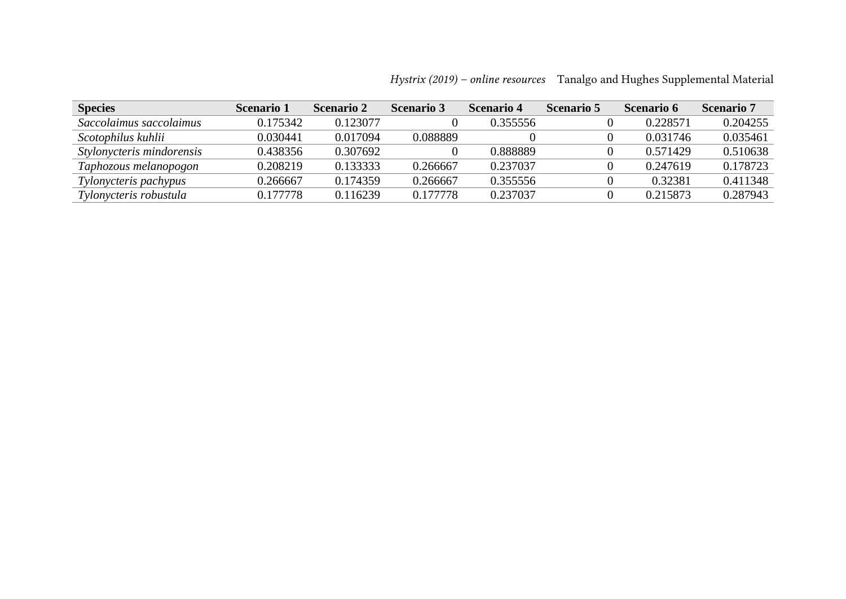| <b>Species</b>            | <b>Scenario 1</b> | <b>Scenario 2</b> | <b>Scenario</b> 3 | <b>Scenario 4</b> | <b>Scenario 5</b> | <b>Scenario 6</b> | <b>Scenario</b> 7 |
|---------------------------|-------------------|-------------------|-------------------|-------------------|-------------------|-------------------|-------------------|
| Saccolaimus saccolaimus   | 0.175342          | 0.123077          |                   | 0.355556          |                   | 0.228571          | 0.204255          |
| Scotophilus kuhlii        | 0.030441          | 0.017094          | 0.088889          |                   |                   | 0.031746          | 0.035461          |
| Stylonycteris mindorensis | 0.438356          | 0.307692          |                   | 0.888889          |                   | 0.571429          | 0.510638          |
| Taphozous melanopogon     | 0.208219          | 0.133333          | 0.266667          | 0.237037          |                   | 0.247619          | 0.178723          |
| Tylonycteris pachypus     | 0.266667          | 0.174359          | 0.266667          | 0.355556          |                   | 0.32381           | 0.411348          |
| Tylonycteris robustula    | 0.177778          | 0.116239          | 0.177778          | 0.237037          |                   | 0.215873          | 0.287943          |

*Hystrix (2019) – online resources* Tanalgo and Hughes Supplemental Material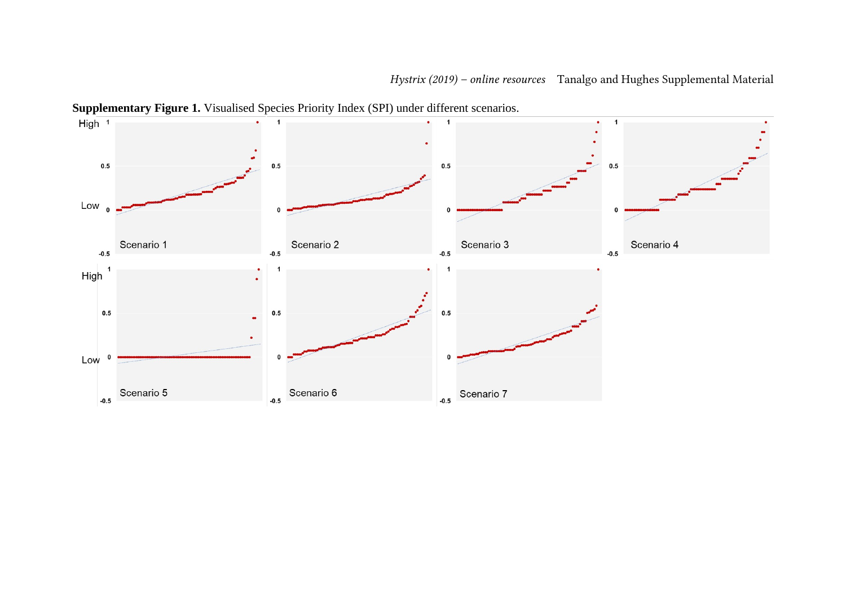

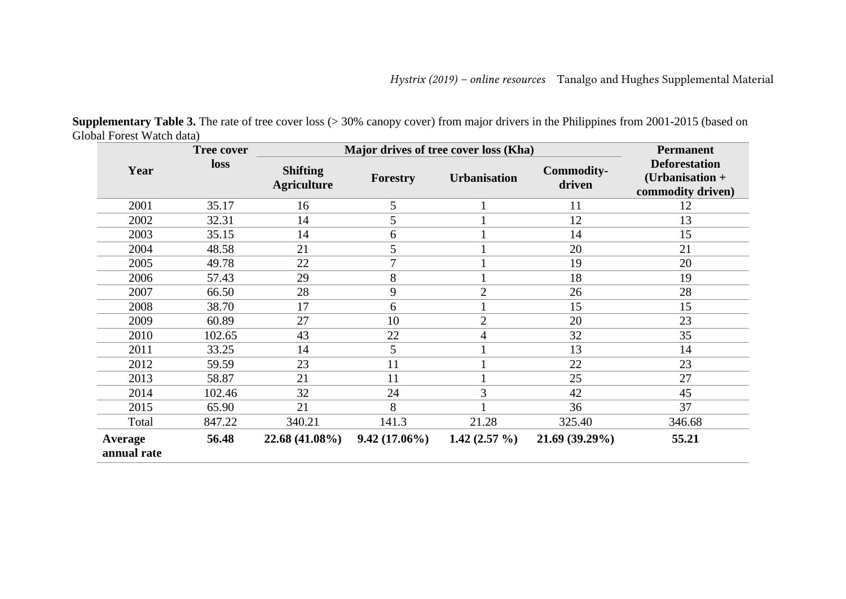| <b>Tree cover</b>      |        |                                       | Major drives of tree cover loss (Kha) |                 |                             |                                                              |  |  |  |
|------------------------|--------|---------------------------------------|---------------------------------------|-----------------|-----------------------------|--------------------------------------------------------------|--|--|--|
| Year                   | loss   | <b>Shifting</b><br><b>Agriculture</b> | <b>Urbanisation</b><br>Forestry       |                 | <b>Commodity-</b><br>driven | <b>Deforestation</b><br>(Urbanisation +<br>commodity driven) |  |  |  |
| 2001                   | 35.17  | 16                                    | 5                                     | $\mathbf{1}$    | 11                          | 12                                                           |  |  |  |
| 2002                   | 32.31  | 14                                    | 5                                     | $\mathbf{1}$    | 12                          | 13                                                           |  |  |  |
| 2003                   | 35.15  | 14                                    | 6                                     |                 | 14                          | 15                                                           |  |  |  |
| 2004                   | 48.58  | 21                                    | 5                                     | $\mathbf{1}$    | 20                          | 21                                                           |  |  |  |
| 2005                   | 49.78  | 22                                    | $\overline{7}$                        | $\mathbf{1}$    | 19                          | 20                                                           |  |  |  |
| 2006                   | 57.43  | 29                                    | 8                                     |                 | 18                          | 19                                                           |  |  |  |
| 2007                   | 66.50  | 28                                    | 9                                     | $\overline{2}$  | 26                          | 28                                                           |  |  |  |
| 2008                   | 38.70  | 17                                    | 6                                     | $\mathbf{1}$    | 15                          | 15                                                           |  |  |  |
| 2009                   | 60.89  | 27                                    | 10                                    | 2               | 20                          | 23                                                           |  |  |  |
| 2010                   | 102.65 | 43                                    | 22                                    | 4               | 32                          | 35                                                           |  |  |  |
| 2011                   | 33.25  | 14                                    | 5                                     | $\mathbf{1}$    | 13                          | 14                                                           |  |  |  |
| 2012                   | 59.59  | 23                                    | 11                                    | $\mathbf{1}$    | 22                          | 23                                                           |  |  |  |
| 2013                   | 58.87  | 21                                    | 11                                    |                 | 25                          | 27                                                           |  |  |  |
| 2014                   | 102.46 | 32                                    | 24                                    | 3               | 42                          | 45                                                           |  |  |  |
| 2015                   | 65.90  | 21                                    | 8                                     |                 | 36                          | 37                                                           |  |  |  |
| Total                  | 847.22 | 340.21                                | 141.3                                 | 21.28           | 325.40                      | 346.68                                                       |  |  |  |
| Average<br>annual rate | 56.48  | 22.68 (41.08%)                        | $9.42(17.06\%)$                       | 1.42 $(2.57\%)$ | 21.69 (39.29%)              | 55.21                                                        |  |  |  |

**Supplementary Table 3.** The rate of tree cover loss (> 30% canopy cover) from major drivers in the Philippines from 2001-2015 (based on Global Forest Watch data)